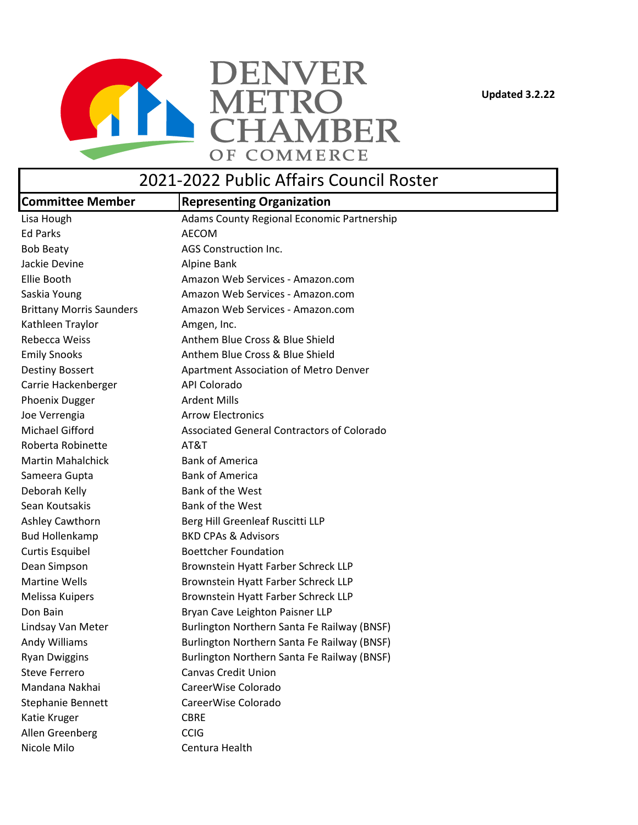**Updated 3.2.22**



## 2021-2022 Public Affairs Council Roster

| <b>Committee Member</b>         | <b>Representing Organization</b>                  |
|---------------------------------|---------------------------------------------------|
| Lisa Hough                      | Adams County Regional Economic Partnership        |
| <b>Ed Parks</b>                 | <b>AECOM</b>                                      |
| <b>Bob Beaty</b>                | AGS Construction Inc.                             |
| Jackie Devine                   | Alpine Bank                                       |
| Ellie Booth                     | Amazon Web Services - Amazon.com                  |
| Saskia Young                    | Amazon Web Services - Amazon.com                  |
| <b>Brittany Morris Saunders</b> | Amazon Web Services - Amazon.com                  |
| Kathleen Traylor                | Amgen, Inc.                                       |
| <b>Rebecca Weiss</b>            | Anthem Blue Cross & Blue Shield                   |
| <b>Emily Snooks</b>             | Anthem Blue Cross & Blue Shield                   |
| <b>Destiny Bossert</b>          | Apartment Association of Metro Denver             |
| Carrie Hackenberger             | API Colorado                                      |
| Phoenix Dugger                  | <b>Ardent Mills</b>                               |
| Joe Verrengia                   | <b>Arrow Electronics</b>                          |
| <b>Michael Gifford</b>          | <b>Associated General Contractors of Colorado</b> |
| Roberta Robinette               | AT&T                                              |
| <b>Martin Mahalchick</b>        | <b>Bank of America</b>                            |
| Sameera Gupta                   | <b>Bank of America</b>                            |
| Deborah Kelly                   | Bank of the West                                  |
| Sean Koutsakis                  | Bank of the West                                  |
| <b>Ashley Cawthorn</b>          | Berg Hill Greenleaf Ruscitti LLP                  |
| <b>Bud Hollenkamp</b>           | <b>BKD CPAs &amp; Advisors</b>                    |
| <b>Curtis Esquibel</b>          | <b>Boettcher Foundation</b>                       |
| Dean Simpson                    | Brownstein Hyatt Farber Schreck LLP               |
| <b>Martine Wells</b>            | Brownstein Hyatt Farber Schreck LLP               |
| Melissa Kuipers                 | Brownstein Hyatt Farber Schreck LLP               |
| Don Bain                        | Bryan Cave Leighton Paisner LLP                   |
| Lindsay Van Meter               | Burlington Northern Santa Fe Railway (BNSF)       |
| Andy Williams                   | Burlington Northern Santa Fe Railway (BNSF)       |
| <b>Ryan Dwiggins</b>            | Burlington Northern Santa Fe Railway (BNSF)       |
| <b>Steve Ferrero</b>            | <b>Canvas Credit Union</b>                        |
| Mandana Nakhai                  | CareerWise Colorado                               |
| Stephanie Bennett               | CareerWise Colorado                               |
| Katie Kruger                    | <b>CBRE</b>                                       |
| Allen Greenberg                 | <b>CCIG</b>                                       |
| Nicole Milo                     | Centura Health                                    |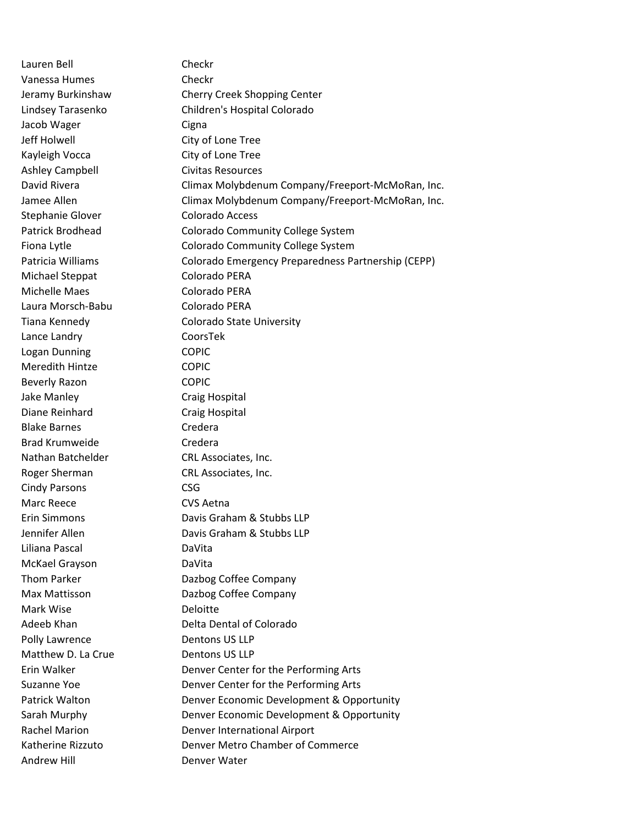Lauren Bell Checkr Vanessa Humes Checkr Jacob Wager **Cigna** Jeff Holwell City of Lone Tree Kayleigh Vocca City of Lone Tree Ashley Campbell **Civitas Resources** Stephanie Glover Colorado Access Michael Steppat Colorado PERA Michelle Maes Colorado PERA Laura Morsch-Babu Colorado PERA Lance Landry CoorsTek Logan Dunning COPIC Meredith Hintze COPIC Beverly Razon COPIC Jake Manley **Craig Hospital** Diane Reinhard Craig Hospital Blake Barnes **Credera** Brad Krumweide Credera Nathan Batchelder CRL Associates, Inc. Roger Sherman CRL Associates, Inc. Cindy Parsons CSG Marc Reece CVS Aetna Liliana Pascal DaVita McKael Grayson DaVita Mark Wise **Deloitte** Polly Lawrence Dentons US LLP Matthew D. La Crue Dentons US LLP Andrew Hill **Example 20** Denver Water

Jeramy Burkinshaw Cherry Creek Shopping Center Lindsey Tarasenko Children's Hospital Colorado David Rivera Climax Molybdenum Company/Freeport-McMoRan, Inc. Jamee Allen Climax Molybdenum Company/Freeport-McMoRan, Inc. Patrick Brodhead Colorado Community College System Fiona Lytle **Colorado Community College System** Patricia Williams Colorado Emergency Preparedness Partnership (CEPP) Tiana Kennedy Colorado State University Erin Simmons Davis Graham & Stubbs LLP Jennifer Allen Davis Graham & Stubbs LLP Thom Parker **Dazbog Coffee Company** Max Mattisson **Dazbog Coffee Company** Adeeb Khan Delta Dental of Colorado Erin Walker **Denver Center for the Performing Arts** Suzanne Yoe **Denver Center for the Performing Arts** Patrick Walton **Denver Economic Development & Opportunity** Sarah Murphy **Denver Economic Development & Opportunity** Rachel Marion **Denver International Airport** Katherine Rizzuto Denver Metro Chamber of Commerce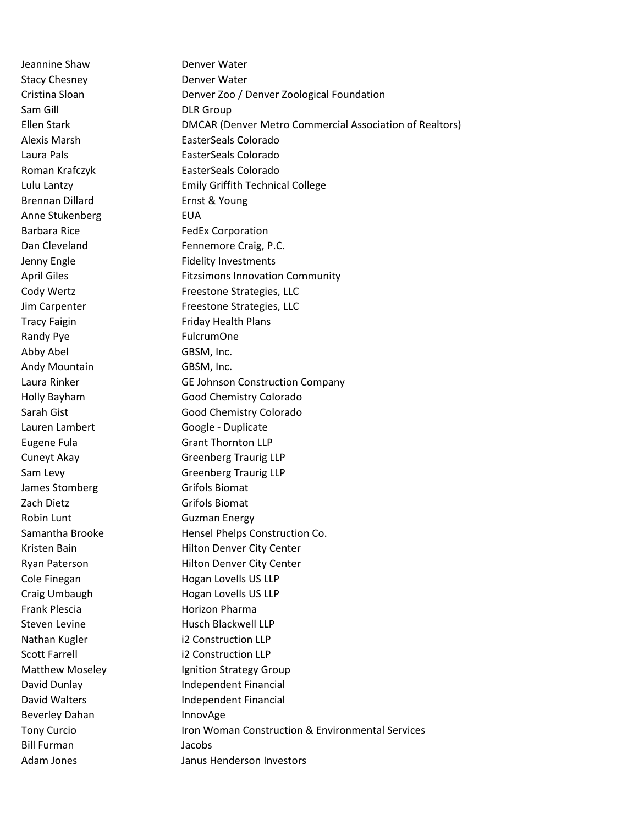Jeannine Shaw Denver Water Stacy Chesney **Denver Water** Sam Gill **DLR Group** Brennan Dillard **Ernst & Young** Anne Stukenberg FUA Barbara Rice FedEx Corporation Tracy Faigin Friday Health Plans Randy Pye FulcrumOne Abby Abel GBSM, Inc. Andy Mountain GBSM, Inc. Lauren Lambert Google - Duplicate James Stomberg Grifols Biomat Zach Dietz Grifols Biomat Robin Lunt Guzman Energy Frank Plescia **Horizon Pharma** Nathan Kugler i2 Construction LLP Scott Farrell i2 Construction LLP Beverley Dahan InnovAge Bill Furman Jacobs

Cristina Sloan Denver Zoo / Denver Zoological Foundation Ellen Stark DMCAR (Denver Metro Commercial Association of Realtors) Alexis Marsh EasterSeals Colorado Laura Pals **EasterSeals Colorado** Roman Krafczyk EasterSeals Colorado Lulu Lantzy Emily Griffith Technical College Dan Cleveland Fennemore Craig, P.C. Jenny Engle Fidelity Investments April Giles **Fitzsimons Innovation Community** Cody Wertz **Freestone Strategies**, LLC Jim Carpenter Freestone Strategies, LLC Laura Rinker GE Johnson Construction Company Holly Bayham Good Chemistry Colorado Sarah Gist Good Chemistry Colorado Eugene Fula Grant Thornton LLP Cuneyt Akay Greenberg Traurig LLP Sam Levy **Greenberg Traurig LLP** Samantha Brooke Hensel Phelps Construction Co. Kristen Bain **Hilton Denver City Center** Ryan Paterson **Hilton Denver City Center** Cole Finegan **Hogan Lovells US LLP** Craig Umbaugh Hogan Lovells US LLP Steven Levine **Husch Blackwell LLP** Matthew Moseley **Ignition Strategy Group** David Dunlay **Independent Financial** David Walters **Independent Financial** Tony Curcio **Iron Woman Construction & Environmental Services** Adam Jones Janus Henderson Investors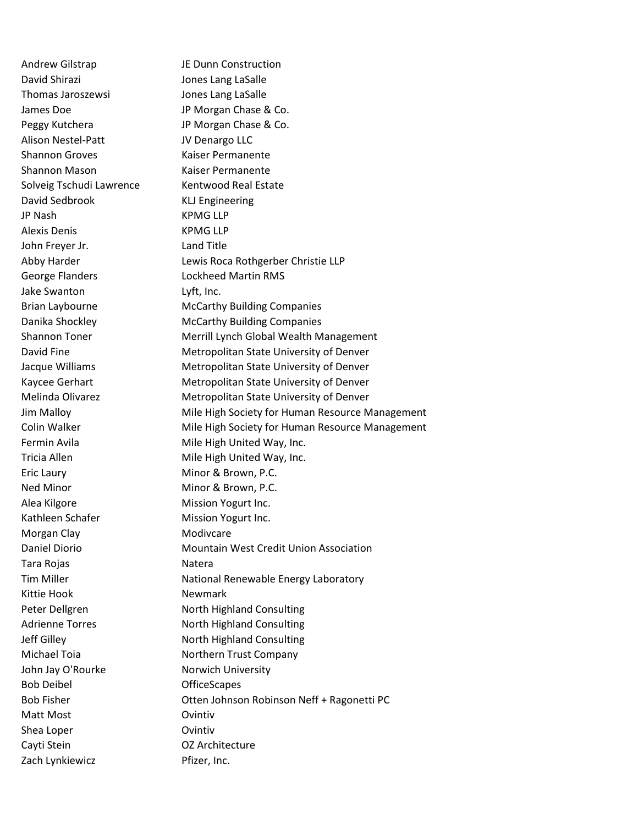David Shirazi **David Shirazi** Jones Lang LaSalle Thomas Jaroszewsi Jones Lang LaSalle James Doe JP Morgan Chase & Co. Peggy Kutchera **JP Morgan Chase & Co.** Alison Nestel-Patt JV Denargo LLC Shannon Groves Kaiser Permanente Shannon Mason Kaiser Permanente Solveig Tschudi Lawrence Kentwood Real Estate David Sedbrook KLJ Engineering JP Nash KPMG LLP Alexis Denis KPMG LLP John Freyer Jr. Land Title George Flanders Lockheed Martin RMS Jake Swanton Lyft, Inc. Eric Laury **Minor & Brown, P.C.** Ned Minor **Minor & Brown, P.C.** Alea Kilgore **Mission Yogurt Inc.** Kathleen Schafer Mission Yogurt Inc. Morgan Clay **Modivalle** Modivcare Tara Rojas Natera Kittie Hook Newmark John Jay O'Rourke Norwich University Bob Deibel OfficeScapes Matt Most **Matt Most** Covintiv Shea Loper **Contract Contract Contract Contract Contract Contract Contract Contract Contract Contract Contract Contract Contract Contract Contract Contract Contract Contract Contract Contract Contract Contract Contract Con** Cayti Stein OZ Architecture Zach Lynkiewicz **Pfizer**, Inc.

Andrew Gilstrap JE Dunn Construction Abby Harder **Lewis Roca Rothgerber Christie LLP** Brian Laybourne **McCarthy Building Companies** Danika Shockley McCarthy Building Companies Shannon Toner **Merrill Lynch Global Wealth Management** David Fine **Metropolitan State University of Denver** Jacque Williams Metropolitan State University of Denver Kaycee Gerhart Metropolitan State University of Denver Melinda Olivarez **Metropolitan State University of Denver** Jim Malloy Mile High Society for Human Resource Management Colin Walker **Mile High Society for Human Resource Management** Fermin Avila **Mile High United Way, Inc.** Tricia Allen Mile High United Way, Inc. Daniel Diorio **Mountain West Credit Union Association** Tim Miller **National Renewable Energy Laboratory** Peter Dellgren North Highland Consulting Adrienne Torres North Highland Consulting Jeff Gilley **North Highland Consulting** Michael Toia **Northern Trust Company** Bob Fisher **Communist Contract Contract Otten Johnson Robinson Neff + Ragonetti PC**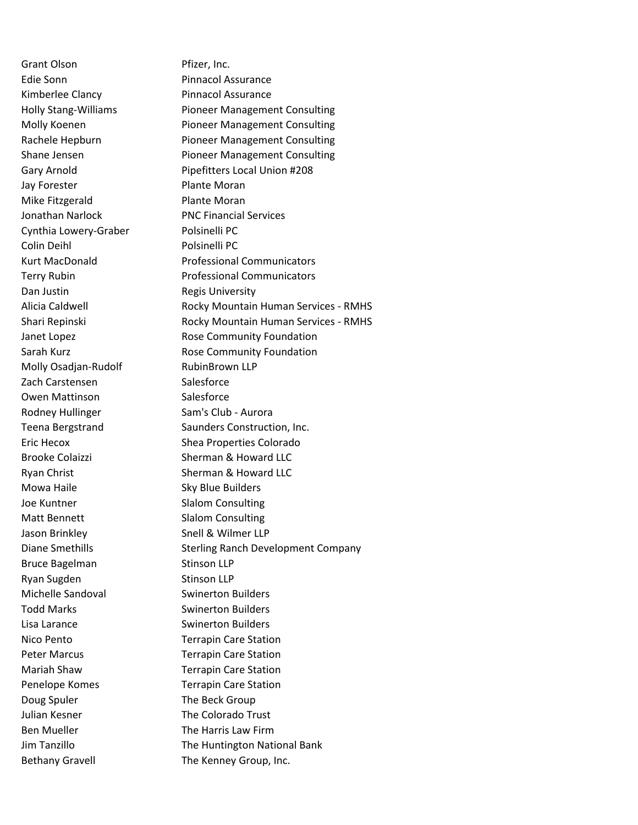Grant Olson Pfizer, Inc. Edie Sonn **Pinnacol Assurance** Kimberlee Clancy **Pinnacol Assurance** Jay Forester **Plante Moran** Mike Fitzgerald Plante Moran Cynthia Lowery-Graber Polsinelli PC Colin Deihl Polsinelli PC Dan Justin **Dan Justin** Regis University Molly Osadian-Rudolf RubinBrown LLP Zach Carstensen Salesforce Owen Mattinson Salesforce Rodney Hullinger Sam's Club - Aurora Mowa Haile **Sky Blue Builders** Joe Kuntner Slalom Consulting Matt Bennett Slalom Consulting Jason Brinkley Snell & Wilmer LLP Bruce Bagelman Stinson LLP Ryan Sugden Stinson LLP Michelle Sandoval **Suinerton Builders** Todd Marks **Swinerton Builders** Lisa Larance Swinerton Builders Nico Pento Terrapin Care Station Peter Marcus **Terrapin Care Station** Mariah Shaw Terrapin Care Station Penelope Komes Terrapin Care Station Doug Spuler The Beck Group Julian Kesner **The Colorado Trust** Ben Mueller **The Harris Law Firm** Bethany Gravell **The Kenney Group, Inc.** 

Holly Stang-Williams Pioneer Management Consulting Molly Koenen **Pioneer Management Consulting** Rachele Hepburn Pioneer Management Consulting Shane Jensen **Pioneer Management Consulting** Gary Arnold **Pipefitters Local Union #208** Jonathan Narlock PNC Financial Services Kurt MacDonald Professional Communicators Terry Rubin **Professional Communicators** Alicia Caldwell **Rocky Mountain Human Services - RMHS** Shari Repinski **Rocky Mountain Human Services - RMHS** Janet Lopez **Rose Community Foundation** Sarah Kurz **Rose Community Foundation** Teena Bergstrand Saunders Construction, Inc. Eric Hecox Shea Properties Colorado Brooke Colaizzi Sherman & Howard LLC Ryan Christ **Sherman & Howard LLC** Diane Smethills Sterling Ranch Development Company Jim Tanzillo **The Huntington National Bank**